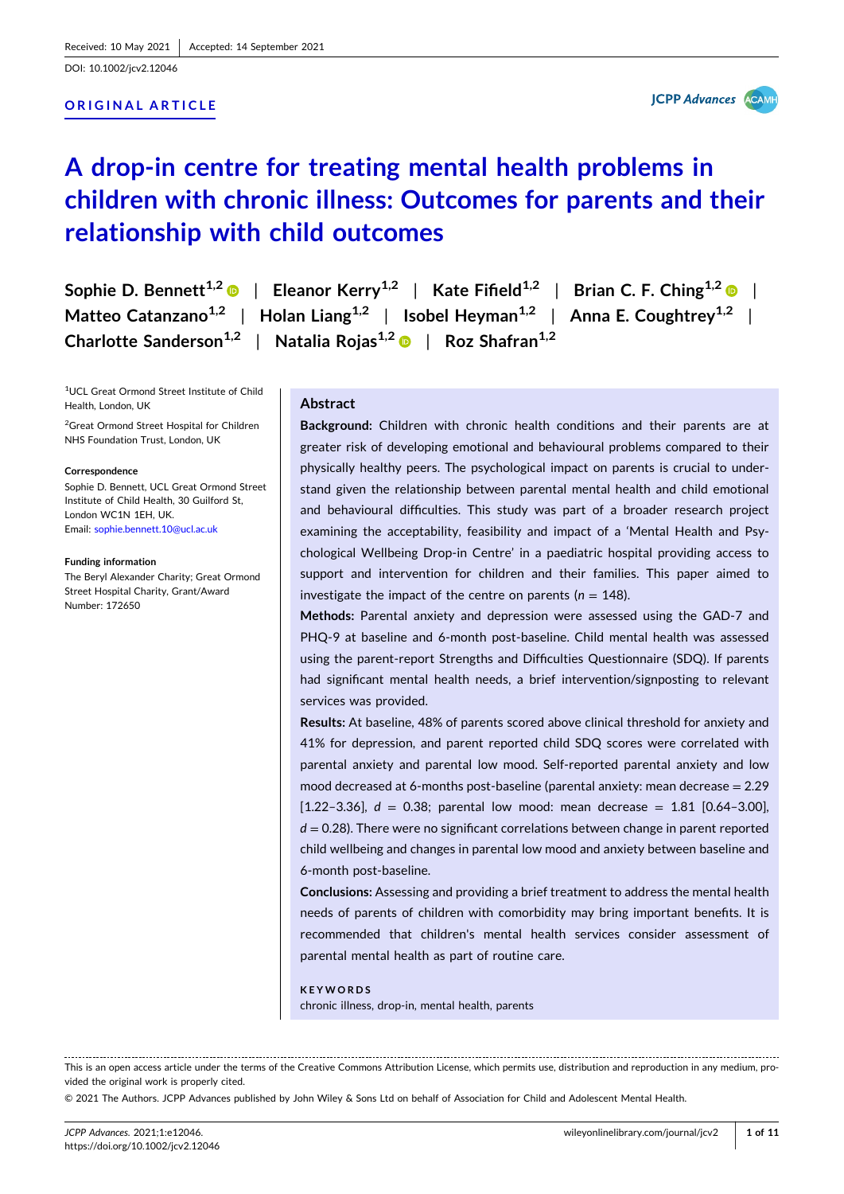DOI: [10.1002/jcv2.12046](https://doi.org/10.1002/jcv2.12046)

## **ORIGINAL ARTICLE**

**JCPP Advances AGAM** 

# **A drop‐in centre for treating mental health problems in children with chronic illness: Outcomes for parents and their relationship with child outcomes**

| Sophie D. Bennett <sup>1,2</sup> $\bullet$   Eleanor Kerry <sup>1,2</sup>   Kate Fifield <sup>1,2</sup>   Brian C. F. Ching <sup>1,2</sup> $\bullet$ |
|------------------------------------------------------------------------------------------------------------------------------------------------------|
| Matteo Catanzano <sup>1,2</sup>   Holan Liang <sup>1,2</sup>   Isobel Heyman <sup>1,2</sup>   Anna E. Coughtrey <sup>1,2</sup>                       |
| Charlotte Sanderson <sup>1,2</sup>   Natalia Rojas <sup>1,2</sup> $\bullet$   Roz Shafran <sup>1,2</sup>                                             |

1 UCL Great Ormond Street Institute of Child Health, London, UK

<sup>2</sup> Great Ormond Street Hospital for Children NHS Foundation Trust, London, UK

#### **Correspondence**

Sophie D. Bennett, UCL Great Ormond Street Institute of Child Health, 30 Guilford St, London WC1N 1EH, UK. Email: [sophie.bennett.10@ucl.ac.uk](mailto:sophie.bennett.10@ucl.ac.uk)

**Funding information**

The Beryl Alexander Charity; Great Ormond Street Hospital Charity, Grant/Award Number: 172650

#### **Abstract**

**Background:** Children with chronic health conditions and their parents are at greater risk of developing emotional and behavioural problems compared to their physically healthy peers. The psychological impact on parents is crucial to understand given the relationship between parental mental health and child emotional and behavioural difficulties. This study was part of a broader research project examining the acceptability, feasibility and impact of a 'Mental Health and Psychological Wellbeing Drop‐in Centre' in a paediatric hospital providing access to support and intervention for children and their families. This paper aimed to investigate the impact of the centre on parents ( $n = 148$ ).

**Methods:** Parental anxiety and depression were assessed using the GAD‐7 and PHQ-9 at baseline and 6-month post-baseline. Child mental health was assessed using the parent-report Strengths and Difficulties Questionnaire (SDQ). If parents had significant mental health needs, a brief intervention/signposting to relevant services was provided.

**Results:** At baseline, 48% of parents scored above clinical threshold for anxiety and 41% for depression, and parent reported child SDQ scores were correlated with parental anxiety and parental low mood. Self-reported parental anxiety and low mood decreased at 6-months post-baseline (parental anxiety: mean decrease  $= 2.29$  $[1.22-3.36]$ ,  $d = 0.38$ ; parental low mood: mean decrease = 1.81  $[0.64-3.00]$ , *d* = 0.28). There were no significant correlations between change in parent reported child wellbeing and changes in parental low mood and anxiety between baseline and 6‐month post‐baseline.

**Conclusions:** Assessing and providing a brief treatment to address the mental health needs of parents of children with comorbidity may bring important benefits. It is recommended that children's mental health services consider assessment of parental mental health as part of routine care.

#### **KEYWORDS**

chronic illness, drop‐in, mental health, parents

This is an open access article under the terms of the Creative Commons Attribution License, which permits use, distribution and reproduction in any medium, provided the original work is properly cited.

© 2021 The Authors. JCPP Advances published by John Wiley & Sons Ltd on behalf of Association for Child and Adolescent Mental Health.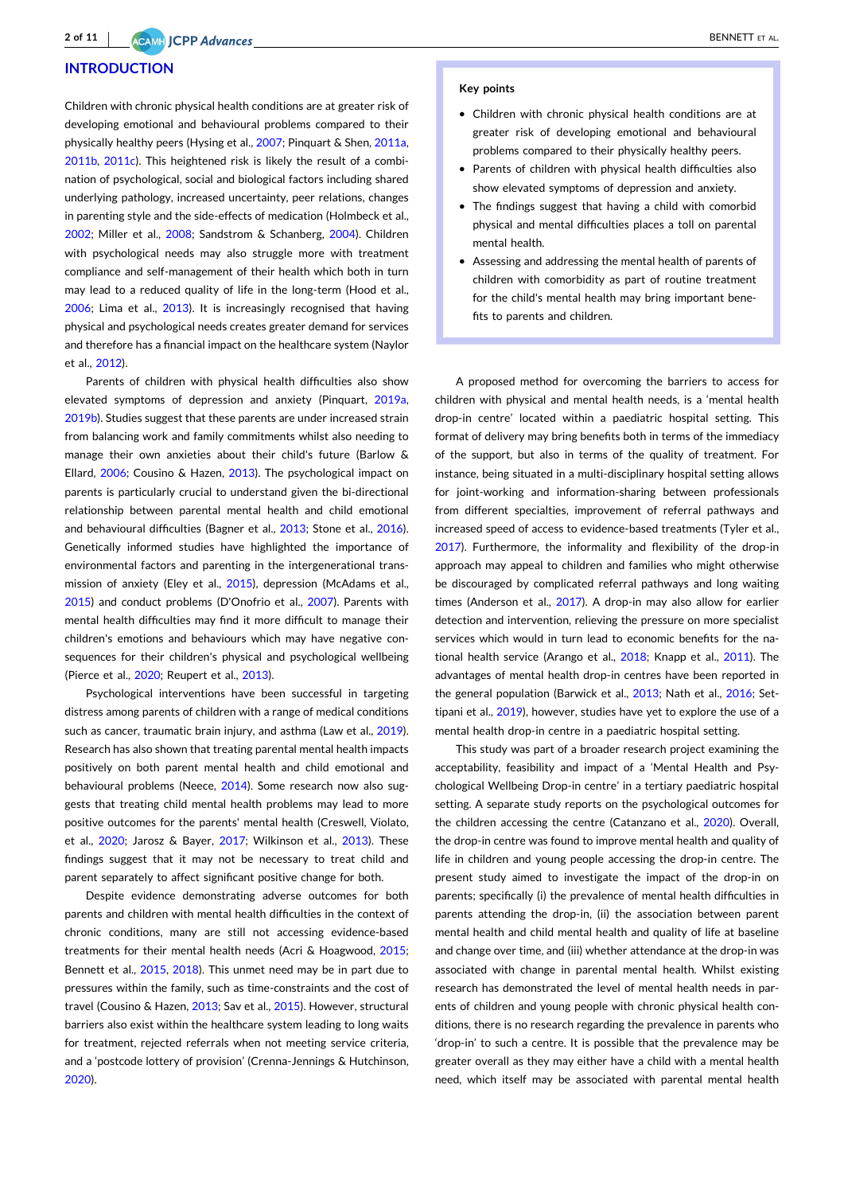#### **INTRODUCTION**

Children with chronic physical health conditions are at greater risk of developing emotional and behavioural problems compared to their physically healthy peers (Hysing et al., [2007](#page-8-0); Pinquart & Shen, [2011a,](#page-9-0) [2011b,](#page-9-0) [2011c\)](#page-9-0). This heightened risk is likely the result of a combination of psychological, social and biological factors including shared underlying pathology, increased uncertainty, peer relations, changes in parenting style and the side-effects of medication (Holmbeck et al., [2002](#page-8-0); Miller et al., [2008](#page-9-0); Sandstrom & Schanberg, [2004\)](#page-9-0). Children with psychological needs may also struggle more with treatment compliance and self‐management of their health which both in turn may lead to a reduced quality of life in the long-term (Hood et al., [2006](#page-8-0); Lima et al., [2013](#page-9-0)). It is increasingly recognised that having physical and psychological needs creates greater demand for services and therefore has a financial impact on the healthcare system (Naylor et al., [2012](#page-9-0)).

Parents of children with physical health difficulties also show elevated symptoms of depression and anxiety (Pinquart, [2019a,](#page-9-0) [2019b\)](#page-9-0). Studies suggest that these parents are under increased strain from balancing work and family commitments whilst also needing to manage their own anxieties about their child's future (Barlow & Ellard, [2006](#page-8-0); Cousino & Hazen, [2013\)](#page-8-0). The psychological impact on parents is particularly crucial to understand given the bi‐directional relationship between parental mental health and child emotional and behavioural difficulties (Bagner et al., [2013;](#page-8-0) Stone et al., [2016](#page-9-0)). Genetically informed studies have highlighted the importance of environmental factors and parenting in the intergenerational transmission of anxiety (Eley et al., [2015](#page-8-0)), depression (McAdams et al., [2015](#page-9-0)) and conduct problems (D'Onofrio et al., [2007](#page-8-0)). Parents with mental health difficulties may find it more difficult to manage their children's emotions and behaviours which may have negative consequences for their children's physical and psychological wellbeing (Pierce et al., [2020](#page-9-0); Reupert et al., [2013](#page-9-0)).

Psychological interventions have been successful in targeting distress among parents of children with a range of medical conditions such as cancer, traumatic brain injury, and asthma (Law et al., [2019](#page-9-0)). Research has also shown that treating parental mental health impacts positively on both parent mental health and child emotional and behavioural problems (Neece, [2014](#page-9-0)). Some research now also suggests that treating child mental health problems may lead to more positive outcomes for the parents' mental health (Creswell, Violato, et al., [2020;](#page-8-0) Jarosz & Bayer, [2017](#page-9-0); Wilkinson et al., [2013\)](#page-10-0). These findings suggest that it may not be necessary to treat child and parent separately to affect significant positive change for both.

Despite evidence demonstrating adverse outcomes for both parents and children with mental health difficulties in the context of chronic conditions, many are still not accessing evidence‐based treatments for their mental health needs (Acri & Hoagwood, [2015](#page-7-0); Bennett et al., [2015](#page-8-0), [2018](#page-8-0)). This unmet need may be in part due to pressures within the family, such as time‐constraints and the cost of travel (Cousino & Hazen, [2013;](#page-8-0) Sav et al., [2015\)](#page-9-0). However, structural barriers also exist within the healthcare system leading to long waits for treatment, rejected referrals when not meeting service criteria, and a 'postcode lottery of provision' (Crenna‐Jennings & Hutchinson, [2020](#page-8-0)).

#### **Key points**

- � Children with chronic physical health conditions are at greater risk of developing emotional and behavioural problems compared to their physically healthy peers.
- � Parents of children with physical health difficulties also show elevated symptoms of depression and anxiety.
- � The findings suggest that having a child with comorbid physical and mental difficulties places a toll on parental mental health.
- � Assessing and addressing the mental health of parents of children with comorbidity as part of routine treatment for the child's mental health may bring important benefits to parents and children.

A proposed method for overcoming the barriers to access for children with physical and mental health needs, is a 'mental health drop‐in centre' located within a paediatric hospital setting. This format of delivery may bring benefits both in terms of the immediacy of the support, but also in terms of the quality of treatment. For instance, being situated in a multi‐disciplinary hospital setting allows for joint-working and information-sharing between professionals from different specialties, improvement of referral pathways and increased speed of access to evidence‐based treatments (Tyler et al., [2017](#page-9-0)). Furthermore, the informality and flexibility of the drop-in approach may appeal to children and families who might otherwise be discouraged by complicated referral pathways and long waiting times (Anderson et al., [2017\)](#page-8-0). A drop-in may also allow for earlier detection and intervention, relieving the pressure on more specialist services which would in turn lead to economic benefits for the national health service (Arango et al., [2018](#page-8-0); Knapp et al., [2011](#page-9-0)). The advantages of mental health drop‐in centres have been reported in the general population (Barwick et al., [2013;](#page-8-0) Nath et al., [2016;](#page-9-0) Settipani et al., [2019\)](#page-9-0), however, studies have yet to explore the use of a mental health drop‐in centre in a paediatric hospital setting.

This study was part of a broader research project examining the acceptability, feasibility and impact of a 'Mental Health and Psychological Wellbeing Drop‐in centre' in a tertiary paediatric hospital setting. A separate study reports on the psychological outcomes for the children accessing the centre (Catanzano et al., [2020\)](#page-8-0). Overall, the drop‐in centre was found to improve mental health and quality of life in children and young people accessing the drop‐in centre. The present study aimed to investigate the impact of the drop-in on parents; specifically (i) the prevalence of mental health difficulties in parents attending the drop-in, (ii) the association between parent mental health and child mental health and quality of life at baseline and change over time, and (iii) whether attendance at the drop-in was associated with change in parental mental health. Whilst existing research has demonstrated the level of mental health needs in parents of children and young people with chronic physical health conditions, there is no research regarding the prevalence in parents who 'drop‐in' to such a centre. It is possible that the prevalence may be greater overall as they may either have a child with a mental health need, which itself may be associated with parental mental health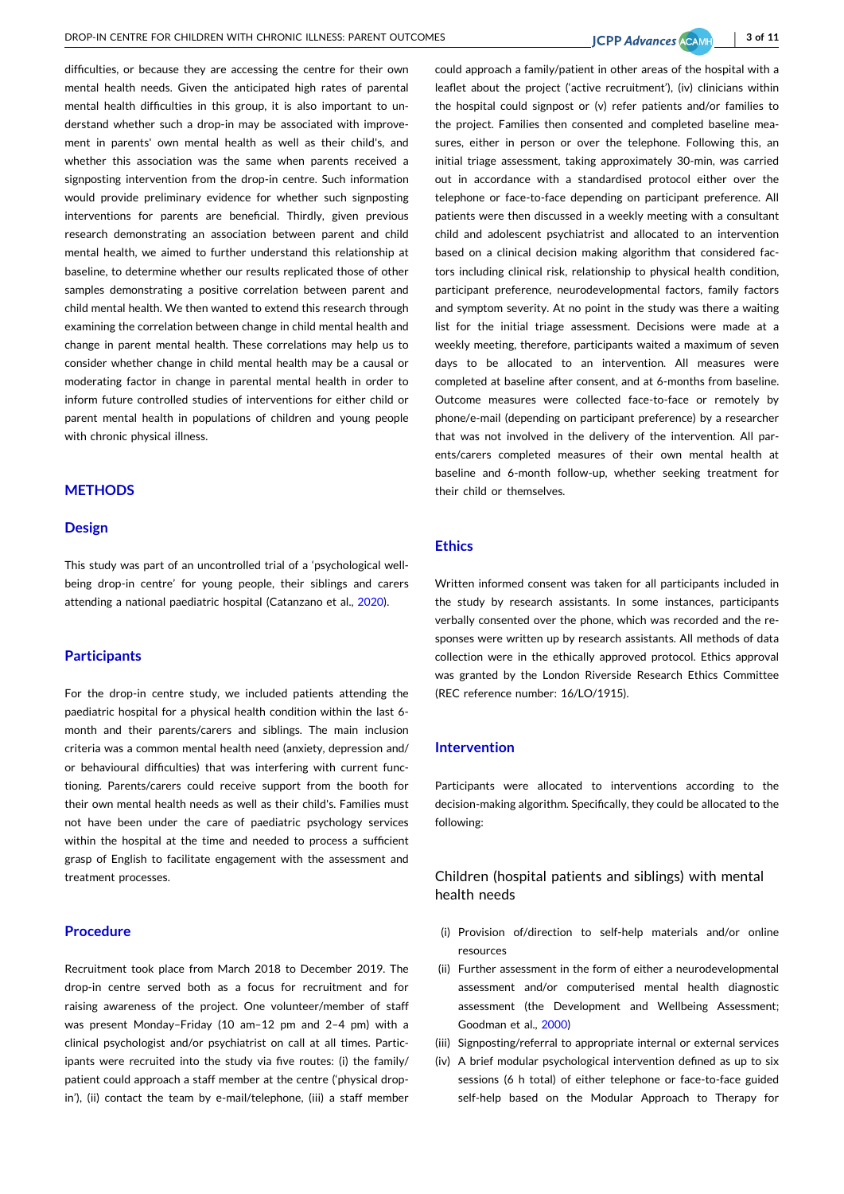- **3 of 11**

difficulties, or because they are accessing the centre for their own mental health needs. Given the anticipated high rates of parental mental health difficulties in this group, it is also important to understand whether such a drop‐in may be associated with improvement in parents' own mental health as well as their child's, and whether this association was the same when parents received a signposting intervention from the drop-in centre. Such information would provide preliminary evidence for whether such signposting interventions for parents are beneficial. Thirdly, given previous research demonstrating an association between parent and child mental health, we aimed to further understand this relationship at baseline, to determine whether our results replicated those of other samples demonstrating a positive correlation between parent and child mental health. We then wanted to extend this research through examining the correlation between change in child mental health and change in parent mental health. These correlations may help us to consider whether change in child mental health may be a causal or moderating factor in change in parental mental health in order to inform future controlled studies of interventions for either child or parent mental health in populations of children and young people with chronic physical illness.

## **METHODS**

#### **Design**

This study was part of an uncontrolled trial of a 'psychological wellbeing drop-in centre' for young people, their siblings and carers attending a national paediatric hospital (Catanzano et al., [2020\)](#page-8-0).

#### **Participants**

For the drop-in centre study, we included patients attending the paediatric hospital for a physical health condition within the last 6‐ month and their parents/carers and siblings. The main inclusion criteria was a common mental health need (anxiety, depression and/ or behavioural difficulties) that was interfering with current functioning. Parents/carers could receive support from the booth for their own mental health needs as well as their child's. Families must not have been under the care of paediatric psychology services within the hospital at the time and needed to process a sufficient grasp of English to facilitate engagement with the assessment and treatment processes.

## **Procedure**

Recruitment took place from March 2018 to December 2019. The drop‐in centre served both as a focus for recruitment and for raising awareness of the project. One volunteer/member of staff was present Monday–Friday (10 am–12 pm and 2–4 pm) with a clinical psychologist and/or psychiatrist on call at all times. Participants were recruited into the study via five routes: (i) the family/ patient could approach a staff member at the centre ('physical drop‐ in'), (ii) contact the team by e-mail/telephone, (iii) a staff member

could approach a family/patient in other areas of the hospital with a leaflet about the project ('active recruitment'), (iv) clinicians within the hospital could signpost or (v) refer patients and/or families to the project. Families then consented and completed baseline measures, either in person or over the telephone. Following this, an initial triage assessment, taking approximately 30‐min, was carried out in accordance with a standardised protocol either over the telephone or face‐to‐face depending on participant preference. All patients were then discussed in a weekly meeting with a consultant child and adolescent psychiatrist and allocated to an intervention based on a clinical decision making algorithm that considered factors including clinical risk, relationship to physical health condition, participant preference, neurodevelopmental factors, family factors and symptom severity. At no point in the study was there a waiting list for the initial triage assessment. Decisions were made at a weekly meeting, therefore, participants waited a maximum of seven days to be allocated to an intervention. All measures were completed at baseline after consent, and at 6‐months from baseline. Outcome measures were collected face‐to‐face or remotely by phone/e‐mail (depending on participant preference) by a researcher that was not involved in the delivery of the intervention. All parents/carers completed measures of their own mental health at baseline and 6‐month follow‐up, whether seeking treatment for their child or themselves.

#### **Ethics**

Written informed consent was taken for all participants included in the study by research assistants. In some instances, participants verbally consented over the phone, which was recorded and the responses were written up by research assistants. All methods of data collection were in the ethically approved protocol. Ethics approval was granted by the London Riverside Research Ethics Committee (REC reference number: 16/LO/1915).

### **Intervention**

Participants were allocated to interventions according to the decision‐making algorithm. Specifically, they could be allocated to the following:

## Children (hospital patients and siblings) with mental health needs

- (i) Provision of/direction to self‐help materials and/or online resources
- (ii) Further assessment in the form of either a neurodevelopmental assessment and/or computerised mental health diagnostic assessment (the Development and Wellbeing Assessment; Goodman et al., [2000](#page-8-0))
- (iii) Signposting/referral to appropriate internal or external services
- (iv) A brief modular psychological intervention defined as up to six sessions (6 h total) of either telephone or face-to-face guided self-help based on the Modular Approach to Therapy for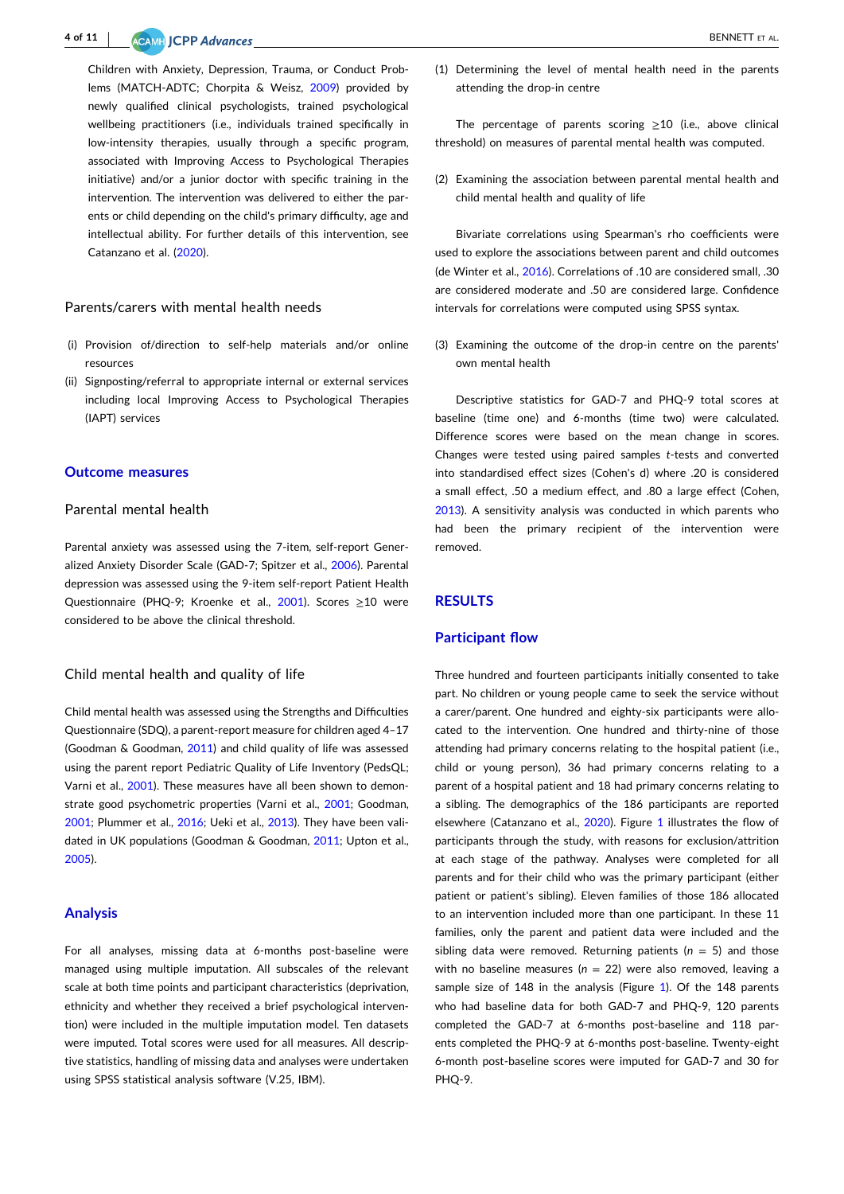#### **4 of 11** ACAME **CONTRACTE ET AL.** BENNETT ET AL.

Children with Anxiety, Depression, Trauma, or Conduct Problems (MATCH‐ADTC; Chorpita & Weisz, [2009](#page-8-0)) provided by newly qualified clinical psychologists, trained psychological wellbeing practitioners (i.e., individuals trained specifically in low-intensity therapies, usually through a specific program, associated with Improving Access to Psychological Therapies initiative) and/or a junior doctor with specific training in the intervention. The intervention was delivered to either the parents or child depending on the child's primary difficulty, age and intellectual ability. For further details of this intervention, see Catanzano et al. ([2020](#page-8-0)).

### Parents/carers with mental health needs

- (i) Provision of/direction to self‐help materials and/or online resources
- (ii) Signposting/referral to appropriate internal or external services including local Improving Access to Psychological Therapies (IAPT) services

#### **Outcome measures**

#### Parental mental health

Parental anxiety was assessed using the 7‐item, self‐report Generalized Anxiety Disorder Scale (GAD‐7; Spitzer et al., [2006](#page-9-0)). Parental depression was assessed using the 9‐item self‐report Patient Health Questionnaire (PHQ‐9; Kroenke et al., [2001](#page-9-0)). Scores ≥10 were considered to be above the clinical threshold.

#### Child mental health and quality of life

Child mental health was assessed using the Strengths and Difficulties Questionnaire (SDQ), a parent‐report measure for children aged 4–17 (Goodman & Goodman, [2011\)](#page-8-0) and child quality of life was assessed using the parent report Pediatric Quality of Life Inventory (PedsQL; Varni et al., [2001](#page-10-0)). These measures have all been shown to demonstrate good psychometric properties (Varni et al., [2001](#page-10-0); Goodman, [2001](#page-8-0); Plummer et al., [2016;](#page-9-0) Ueki et al., [2013](#page-9-0)). They have been validated in UK populations (Goodman & Goodman, [2011;](#page-8-0) Upton et al., [2005](#page-9-0)).

#### **Analysis**

For all analyses, missing data at 6-months post-baseline were managed using multiple imputation. All subscales of the relevant scale at both time points and participant characteristics (deprivation, ethnicity and whether they received a brief psychological intervention) were included in the multiple imputation model. Ten datasets were imputed. Total scores were used for all measures. All descriptive statistics, handling of missing data and analyses were undertaken using SPSS statistical analysis software (V.25, IBM).

(1) Determining the level of mental health need in the parents attending the drop‐in centre

The percentage of parents scoring  $\geq$ 10 (i.e., above clinical threshold) on measures of parental mental health was computed.

(2) Examining the association between parental mental health and child mental health and quality of life

Bivariate correlations using Spearman's rho coefficients were used to explore the associations between parent and child outcomes (de Winter et al., [2016\)](#page-8-0). Correlations of .10 are considered small, .30 are considered moderate and .50 are considered large. Confidence intervals for correlations were computed using SPSS syntax.

(3) Examining the outcome of the drop-in centre on the parents' own mental health

Descriptive statistics for GAD‐7 and PHQ‐9 total scores at baseline (time one) and 6‐months (time two) were calculated. Difference scores were based on the mean change in scores. Changes were tested using paired samples *t*‐tests and converted into standardised effect sizes (Cohen's d) where .20 is considered a small effect, .50 a medium effect, and .80 a large effect (Cohen, [2013](#page-8-0)). A sensitivity analysis was conducted in which parents who had been the primary recipient of the intervention were removed.

## **RESULTS**

### **Participant flow**

Three hundred and fourteen participants initially consented to take part. No children or young people came to seek the service without a carer/parent. One hundred and eighty‐six participants were allocated to the intervention. One hundred and thirty‐nine of those attending had primary concerns relating to the hospital patient (i.e., child or young person), 36 had primary concerns relating to a parent of a hospital patient and 18 had primary concerns relating to a sibling. The demographics of the 186 participants are reported elsewhere (Catanzano et al., [2020\)](#page-8-0). Figure [1](#page-4-0) illustrates the flow of participants through the study, with reasons for exclusion/attrition at each stage of the pathway. Analyses were completed for all parents and for their child who was the primary participant (either patient or patient's sibling). Eleven families of those 186 allocated to an intervention included more than one participant. In these 11 families, only the parent and patient data were included and the sibling data were removed. Returning patients ( $n = 5$ ) and those with no baseline measures ( $n = 22$ ) were also removed, leaving a sample size of 148 in the analysis (Figure [1\)](#page-4-0). Of the 148 parents who had baseline data for both GAD‐7 and PHQ‐9, 120 parents completed the GAD‐7 at 6‐months post‐baseline and 118 parents completed the PHQ‐9 at 6‐months post‐baseline. Twenty‐eight 6‐month post‐baseline scores were imputed for GAD‐7 and 30 for PHQ-9.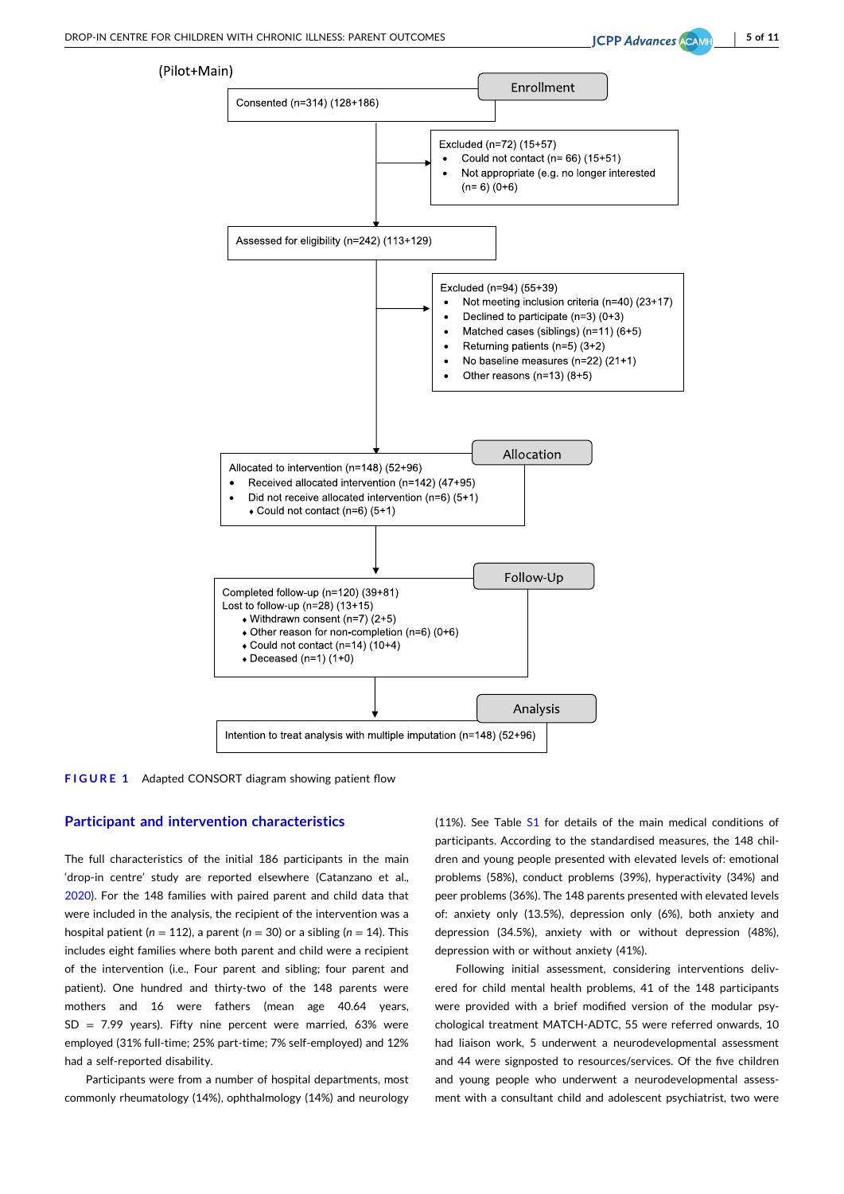- **5 of 11**

<span id="page-4-0"></span>

**FIGURE 1** Adapted CONSORT diagram showing patient flow

#### **Participant and intervention characteristics**

The full characteristics of the initial 186 participants in the main 'drop‐in centre' study are reported elsewhere (Catanzano et al., [2020](#page-8-0)). For the 148 families with paired parent and child data that were included in the analysis, the recipient of the intervention was a hospital patient ( $n = 112$ ), a parent ( $n = 30$ ) or a sibling ( $n = 14$ ). This includes eight families where both parent and child were a recipient of the intervention (i.e., Four parent and sibling; four parent and patient). One hundred and thirty-two of the 148 parents were mothers and 16 were fathers (mean age 40.64 years,  $SD = 7.99$  years). Fifty nine percent were married, 63% were employed (31% full-time; 25% part-time; 7% self-employed) and 12% had a self‐reported disability.

Participants were from a number of hospital departments, most commonly rheumatology (14%), ophthalmology (14%) and neurology

(11%). See Table S1 for details of the main medical conditions of participants. According to the standardised measures, the 148 children and young people presented with elevated levels of: emotional problems (58%), conduct problems (39%), hyperactivity (34%) and peer problems (36%). The 148 parents presented with elevated levels of: anxiety only (13.5%), depression only (6%), both anxiety and depression (34.5%), anxiety with or without depression (48%), depression with or without anxiety (41%).

Following initial assessment, considering interventions delivered for child mental health problems, 41 of the 148 participants were provided with a brief modified version of the modular psychological treatment MATCH‐ADTC, 55 were referred onwards, 10 had liaison work, 5 underwent a neurodevelopmental assessment and 44 were signposted to resources/services. Of the five children and young people who underwent a neurodevelopmental assessment with a consultant child and adolescent psychiatrist, two were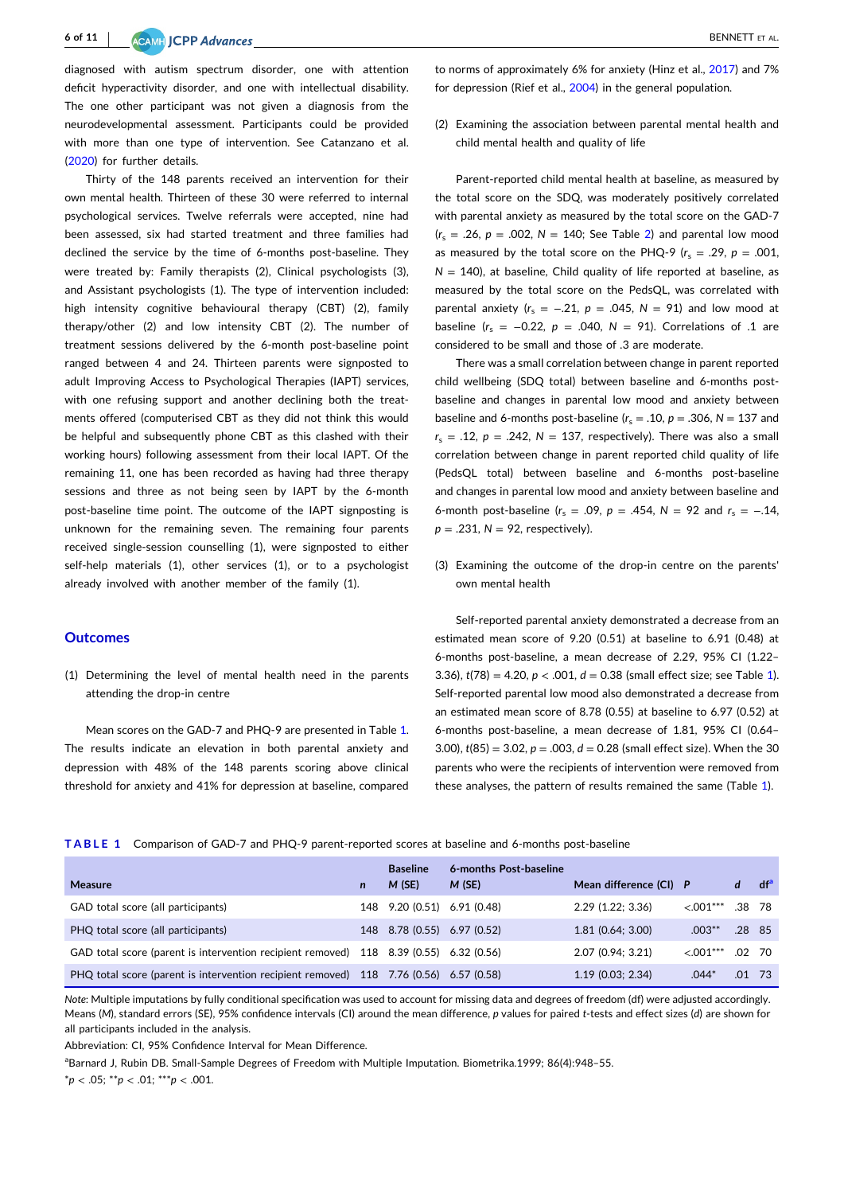diagnosed with autism spectrum disorder, one with attention deficit hyperactivity disorder, and one with intellectual disability. The one other participant was not given a diagnosis from the neurodevelopmental assessment. Participants could be provided with more than one type of intervention. See Catanzano et al. [\(2020\)](#page-8-0) for further details.

Thirty of the 148 parents received an intervention for their own mental health. Thirteen of these 30 were referred to internal psychological services. Twelve referrals were accepted, nine had been assessed, six had started treatment and three families had declined the service by the time of 6‐months post‐baseline. They were treated by: Family therapists (2), Clinical psychologists (3), and Assistant psychologists (1). The type of intervention included: high intensity cognitive behavioural therapy (CBT) (2), family therapy/other (2) and low intensity CBT (2). The number of treatment sessions delivered by the 6‐month post‐baseline point ranged between 4 and 24. Thirteen parents were signposted to adult Improving Access to Psychological Therapies (IAPT) services, with one refusing support and another declining both the treatments offered (computerised CBT as they did not think this would be helpful and subsequently phone CBT as this clashed with their working hours) following assessment from their local IAPT. Of the remaining 11, one has been recorded as having had three therapy sessions and three as not being seen by IAPT by the 6-month post-baseline time point. The outcome of the IAPT signposting is unknown for the remaining seven. The remaining four parents received single‐session counselling (1), were signposted to either self-help materials (1), other services (1), or to a psychologist already involved with another member of the family (1).

#### **Outcomes**

(1) Determining the level of mental health need in the parents attending the drop‐in centre

Mean scores on the GAD-7 and PHQ-9 are presented in Table 1. The results indicate an elevation in both parental anxiety and depression with 48% of the 148 parents scoring above clinical threshold for anxiety and 41% for depression at baseline, compared

to norms of approximately 6% for anxiety (Hinz et al., [2017\)](#page-8-0) and 7% for depression (Rief et al., [2004](#page-9-0)) in the general population.

(2) Examining the association between parental mental health and child mental health and quality of life

Parent‐reported child mental health at baseline, as measured by the total score on the SDQ, was moderately positively correlated with parental anxiety as measured by the total score on the GAD-7  $(r_s = .26, p = .002, N = 140;$  See Table 2) and parental low mood as measured by the total score on the PHQ-9  $(r_s = .29, p = .001,$  $N = 140$ ), at baseline, Child quality of life reported at baseline, as measured by the total score on the PedsQL, was correlated with parental anxiety ( $r_s = -.21$ ,  $p = .045$ ,  $N = 91$ ) and low mood at baseline  $(r_s = -0.22, p = .040, N = 91)$ . Correlations of .1 are considered to be small and those of .3 are moderate.

There was a small correlation between change in parent reported child wellbeing (SDQ total) between baseline and 6-months postbaseline and changes in parental low mood and anxiety between baseline and 6-months post-baseline  $(r_s = .10, p = .306, N = 137$  and  $r<sub>s</sub> = .12, p = .242, N = 137$ , respectively). There was also a small correlation between change in parent reported child quality of life (PedsQL total) between baseline and 6‐months post‐baseline and changes in parental low mood and anxiety between baseline and 6-month post-baseline ( $r_s = .09$ ,  $p = .454$ ,  $N = 92$  and  $r_s = -.14$ ,  $p = .231$ ,  $N = 92$ , respectively).

(3) Examining the outcome of the drop‐in centre on the parents' own mental health

Self-reported parental anxiety demonstrated a decrease from an estimated mean score of 9.20 (0.51) at baseline to 6.91 (0.48) at 6‐months post‐baseline, a mean decrease of 2.29, 95% CI (1.22– 3.36), *t*(78) = 4.20, *p* < .001, *d* = 0.38 (small effect size; see Table 1). Self-reported parental low mood also demonstrated a decrease from an estimated mean score of 8.78 (0.55) at baseline to 6.97 (0.52) at 6‐months post‐baseline, a mean decrease of 1.81, 95% CI (0.64– 3.00), *t*(85) = 3.02, *p* = .003, *d* = 0.28 (small effect size). When the 30 parents who were the recipients of intervention were removed from these analyses, the pattern of results remained the same (Table 1).

|  |  |  |  |  | TABLE 1 Comparison of GAD-7 and PHQ-9 parent-reported scores at baseline and 6-months post-baseline |
|--|--|--|--|--|-----------------------------------------------------------------------------------------------------|
|--|--|--|--|--|-----------------------------------------------------------------------------------------------------|

| <b>Measure</b>                                                                         | $\mathsf{n}$ | <b>Baseline</b><br>M(SE)    | 6-months Post-baseline<br>M(SE) | Mean difference (CI) P |              | d        | df <sup>a</sup> |
|----------------------------------------------------------------------------------------|--------------|-----------------------------|---------------------------------|------------------------|--------------|----------|-----------------|
| GAD total score (all participants)                                                     |              | 148 9.20 (0.51) 6.91 (0.48) |                                 | $2.29$ (1.22; 3.36)    | $< 0.001***$ | .38 78   |                 |
| PHQ total score (all participants)                                                     |              | 148 8.78 (0.55) 6.97 (0.52) |                                 | 1.81(0.64; 3.00)       | $.003**$     | $.28$ 85 |                 |
| GAD total score (parent is intervention recipient removed) 118 8.39 (0.55) 6.32 (0.56) |              |                             |                                 | 2.07(0.94:3.21)        | $< 0.001***$ | .02      | - 70            |
| PHQ total score (parent is intervention recipient removed) 118 7.76 (0.56) 6.57 (0.58) |              |                             |                                 | $1.19$ (0.03; 2.34)    | $.044*$      | .01      | - 73            |

*Note*: Multiple imputations by fully conditional specification was used to account for missing data and degrees of freedom (df) were adjusted accordingly. Means (*M*), standard errors (SE), 95% confidence intervals (CI) around the mean difference, *p* values for paired *t*‐tests and effect sizes (*d*) are shown for all participants included in the analysis.

Abbreviation: CI, 95% Confidence Interval for Mean Difference.

<sup>a</sup>Barnard J, Rubin DB. Small-Sample Degrees of Freedom with Multiple Imputation. Biometrika.1999; 86(4):948-55.

\**p* < .05; \*\**p* < .01; \*\*\**p* < .001.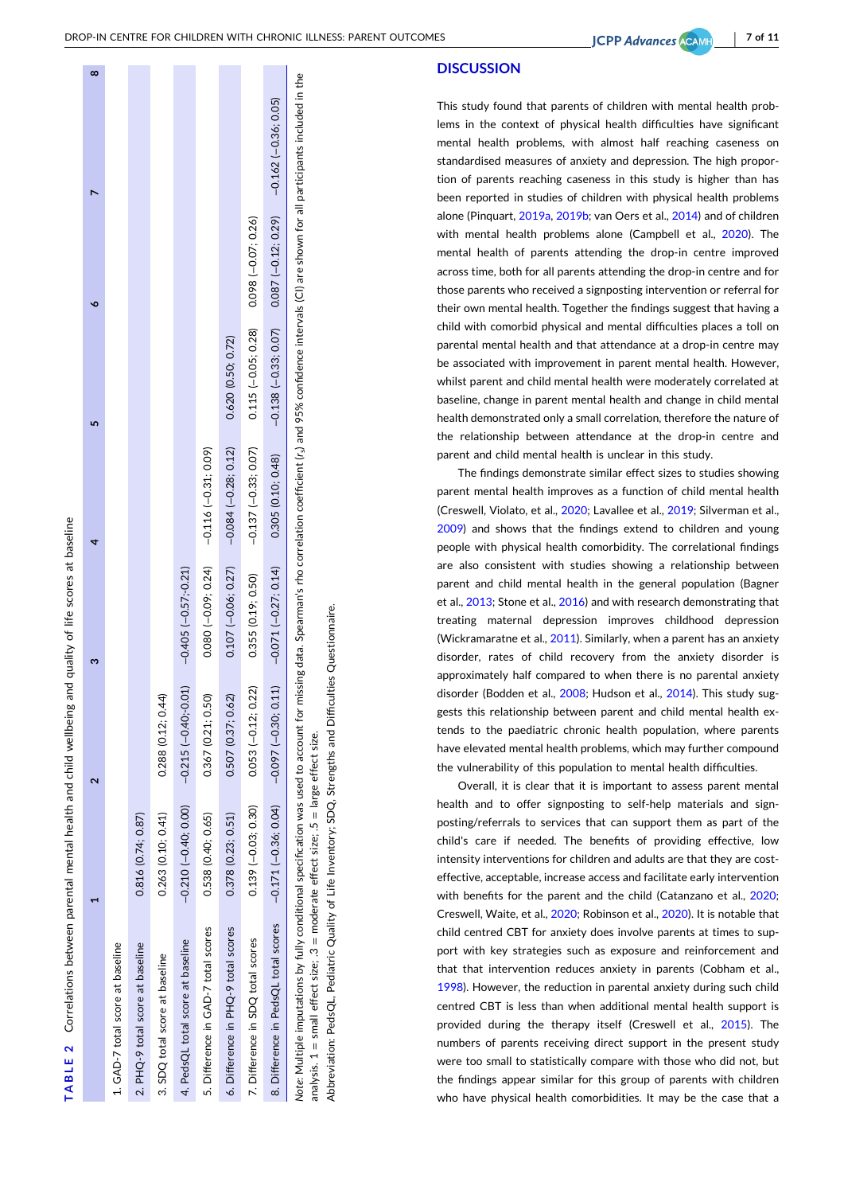| <b>DISCUSSION</b> |  |  |
|-------------------|--|--|
|                   |  |  |

This study found that parents of children with mental health problems in the context of physical health difficulties have significant mental health problems, with almost half reaching caseness on standardised measures of anxiety and depression. The high proportion of parents reaching caseness in this study is higher than has been reported in studies of children with physical health problems alone (Pinquart, [2019a,](#page-9-0) [2019b](#page-9-0); van Oers et al., [2014](#page-10-0)) and of children with mental health problems alone (Campbell et al., [2020\)](#page-8-0). The mental health of parents attending the drop-in centre improved across time, both for all parents attending the drop-in centre and for those parents who received a signposting intervention or referral for their own mental health. Together the findings suggest that having a child with comorbid physical and mental difficulties places a toll on parental mental health and that attendance at a drop-in centre may be associated with improvement in parent mental health. However, whilst parent and child mental health were moderately correlated at baseline, change in parent mental health and change in child mental health demonstrated only a small correlation, therefore the nature of the relationship between attendance at the drop-in centre and parent and child mental health is unclear in this study.

The findings demonstrate similar effect sizes to studies showing parent mental health improves as a function of child mental health (Creswell, Violato, et al., [2020](#page-8-0); Lavallee et al., [2019](#page-9-0); Silverman et al., [2009\)](#page-9-0) and shows that the findings extend to children and young people with physical health comorbidity. The correlational findings are also consistent with studies showing a relationship between parent and child mental health in the general population (Bagner et al., [2013](#page-8-0); Stone et al., [2016\)](#page-9-0) and with research demonstrating that treating maternal depression improves childhood depression (Wickramaratne et al., [2011\)](#page-10-0). Similarly, when a parent has an anxiety disorder, rates of child recovery from the anxiety disorder is approximately half compared to when there is no parental anxiety disorder (Bodden et al., [2008](#page-8-0); Hudson et al., [2014\)](#page-8-0). This study suggests this relationship between parent and child mental health extends to the paediatric chronic health population, where parents have elevated mental health problems, which may further compound the vulnerability of this population to mental health difficulties.

Overall, it is clear that it is important to assess parent mental health and to offer signposting to self-help materials and signposting/referrals to services that can support them as part of the child's care if needed. The benefits of providing effective, low intensity interventions for children and adults are that they are costeffective, acceptable, increase access and facilitate early intervention with benefits for the parent and the child (Catanzano et al., [2020;](#page-8-0) Creswell, Waite, et al., [2020](#page-8-0); Robinson et al., [2020](#page-9-0)). It is notable that child centred CBT for anxiety does involve parents at times to support with key strategies such as exposure and reinforcement and that that intervention reduces anxiety in parents (Cobham et al., [1998\)](#page-8-0). However, the reduction in parental anxiety during such child centred CBT is less than when additional mental health support is provided during the therapy itself (Creswell et al., [2015](#page-8-0)). The numbers of parents receiving direct support in the present study were too small to statistically compare with those who did not, but the findings appear similar for this group of parents with children who have physical health comorbidities. It may be the case that a

Correlations between parental mental health and child wellbeing and quality of life scores at baseline  $2$  Correlations between parental mental health and child wellbeing and quality of life scores at baseline  $\sim$ **TABLE**

|                                                                                                                                                                                                                                |                       |                        |                         |                       |                       |                                                                         | $\infty$ |
|--------------------------------------------------------------------------------------------------------------------------------------------------------------------------------------------------------------------------------|-----------------------|------------------------|-------------------------|-----------------------|-----------------------|-------------------------------------------------------------------------|----------|
| 1. GAD-7 total score at baseline                                                                                                                                                                                               |                       |                        |                         |                       |                       |                                                                         |          |
| 2. PHQ-9 total score at baseline                                                                                                                                                                                               | 0.816 (0.74; 0.87)    |                        |                         |                       |                       |                                                                         |          |
| 3. SDQ total score at baseline                                                                                                                                                                                                 | 0.263 (0.10; 0.41)    | 0.288 (0.12: 0.44)     |                         |                       |                       |                                                                         |          |
| 4. PedsQL total score at baseline                                                                                                                                                                                              | $-0.210(-0.40; 0.00)$ | $-0.215(-0.40; -0.01)$ | $-0.405 (-0.57; -0.21)$ |                       |                       |                                                                         |          |
| 5. Difference in GAD-7 total scores                                                                                                                                                                                            | 0.538 (0.40; 0.65)    | 0.367 (0.21: 0.50)     | $0.080(-0.09; 0.24)$    | $-0.116(-0.31; 0.09)$ |                       |                                                                         |          |
| 6. Difference in PHQ-9 total scores                                                                                                                                                                                            | 0.378(0.23; 0.51)     | 0.507 (0.37; 0.62)     | $0.107 (-0.06; 0.27)$   | $-0.084(-0.28; 0.12)$ | 0.620 (0.50; 0.72)    |                                                                         |          |
| 7. Difference in SDQ total scores                                                                                                                                                                                              | $0.139(-0.03; 0.30)$  | $0.053(-0.12; 0.22)$   | 0.355(0.19; 0.50)       | $-0.137(-0.33; 0.07)$ | $0.115 (-0.05; 0.28)$ | $0.098(-0.07; 0.26)$                                                    |          |
| 8. Difference in PedsQL total scores                                                                                                                                                                                           | $-0.171(-0.36; 0.04)$ | $-0.097(-0.30; 0.11)$  | $-0.071(-0.27; 0.14)$   | 0.305(0.10; 0.48)     |                       | $-0.138$ $(-0.33; 0.07)$ 0.087 $(-0.12; 0.29)$ $-0.162$ $(-0.36; 0.05)$ |          |
| Note: Multiple imputations by fully conditional specification was used to account for missing data. Spearman's rho correlation coefficient (r.) and 95% confidence intervals (CI) are shown for all participants included in t |                       |                        |                         |                       |                       |                                                                         |          |

analysis. 1 = small effect size; .3 = moderate effect size; .5 = large effect size.

analysis. 1 = small effect size; .3 = moderate effect size; .5 = large effect size.

Abbreviation: PedsQL, Pediatric Quality of Life Inventory; SDQ, Strengths and Difficulties Questionnaire.

Abbreviation: PedsQL. Pediatric Quality of Life Inventory: SDQ, Strengths and Difficulties Questionnaire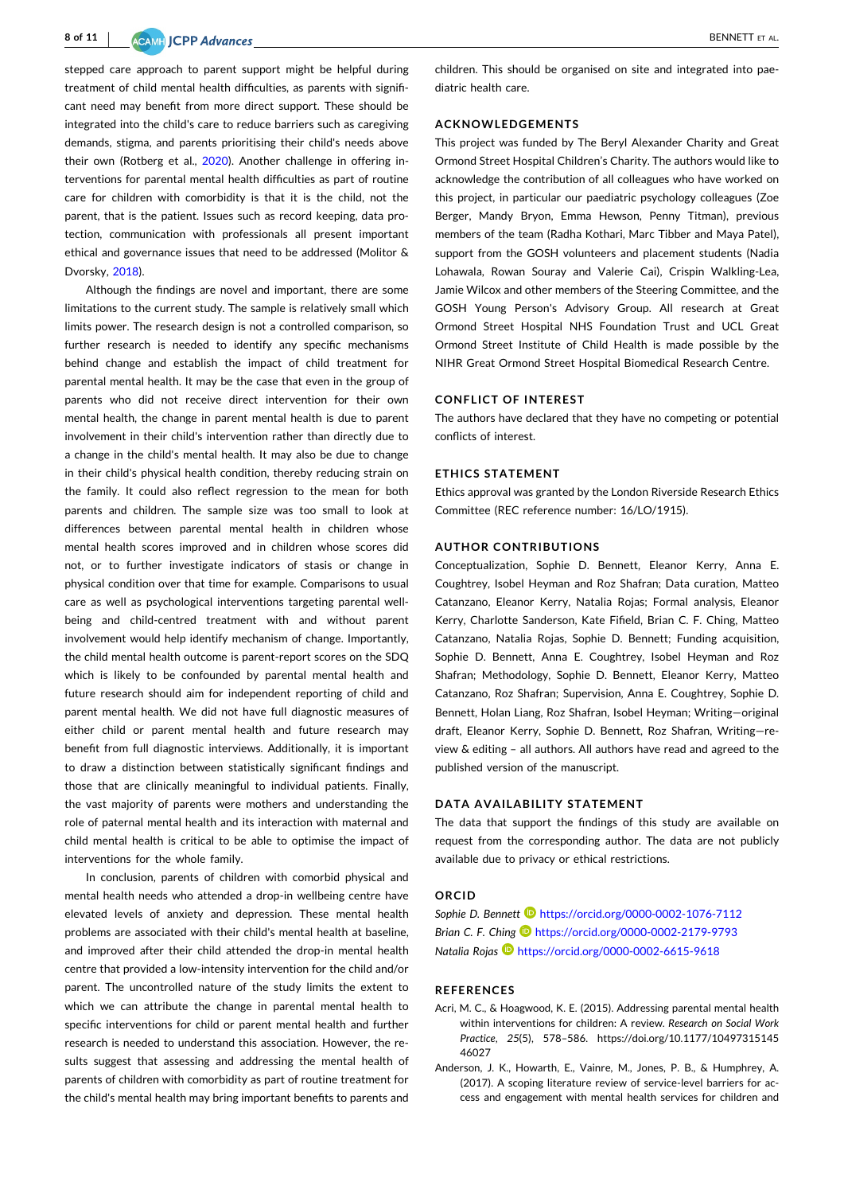<span id="page-7-0"></span>stepped care approach to parent support might be helpful during treatment of child mental health difficulties, as parents with significant need may benefit from more direct support. These should be integrated into the child's care to reduce barriers such as caregiving demands, stigma, and parents prioritising their child's needs above their own (Rotberg et al., [2020](#page-9-0)). Another challenge in offering interventions for parental mental health difficulties as part of routine care for children with comorbidity is that it is the child, not the parent, that is the patient. Issues such as record keeping, data protection, communication with professionals all present important ethical and governance issues that need to be addressed (Molitor & Dvorsky, [2018\)](#page-9-0).

Although the findings are novel and important, there are some limitations to the current study. The sample is relatively small which limits power. The research design is not a controlled comparison, so further research is needed to identify any specific mechanisms behind change and establish the impact of child treatment for parental mental health. It may be the case that even in the group of parents who did not receive direct intervention for their own mental health, the change in parent mental health is due to parent involvement in their child's intervention rather than directly due to a change in the child's mental health. It may also be due to change in their child's physical health condition, thereby reducing strain on the family. It could also reflect regression to the mean for both parents and children. The sample size was too small to look at differences between parental mental health in children whose mental health scores improved and in children whose scores did not, or to further investigate indicators of stasis or change in physical condition over that time for example. Comparisons to usual care as well as psychological interventions targeting parental wellbeing and child‐centred treatment with and without parent involvement would help identify mechanism of change. Importantly, the child mental health outcome is parent‐report scores on the SDQ which is likely to be confounded by parental mental health and future research should aim for independent reporting of child and parent mental health. We did not have full diagnostic measures of either child or parent mental health and future research may benefit from full diagnostic interviews. Additionally, it is important to draw a distinction between statistically significant findings and those that are clinically meaningful to individual patients. Finally, the vast majority of parents were mothers and understanding the role of paternal mental health and its interaction with maternal and child mental health is critical to be able to optimise the impact of interventions for the whole family.

In conclusion, parents of children with comorbid physical and mental health needs who attended a drop‐in wellbeing centre have elevated levels of anxiety and depression. These mental health problems are associated with their child's mental health at baseline, and improved after their child attended the drop-in mental health centre that provided a low‐intensity intervention for the child and/or parent. The uncontrolled nature of the study limits the extent to which we can attribute the change in parental mental health to specific interventions for child or parent mental health and further research is needed to understand this association. However, the results suggest that assessing and addressing the mental health of parents of children with comorbidity as part of routine treatment for the child's mental health may bring important benefits to parents and

children. This should be organised on site and integrated into paediatric health care.

#### **ACKNOWLEDGEMENTS**

This project was funded by The Beryl Alexander Charity and Great Ormond Street Hospital Children's Charity. The authors would like to acknowledge the contribution of all colleagues who have worked on this project, in particular our paediatric psychology colleagues (Zoe Berger, Mandy Bryon, Emma Hewson, Penny Titman), previous members of the team (Radha Kothari, Marc Tibber and Maya Patel), support from the GOSH volunteers and placement students (Nadia Lohawala, Rowan Souray and Valerie Cai), Crispin Walkling‐Lea, Jamie Wilcox and other members of the Steering Committee, and the GOSH Young Person's Advisory Group. All research at Great Ormond Street Hospital NHS Foundation Trust and UCL Great Ormond Street Institute of Child Health is made possible by the NIHR Great Ormond Street Hospital Biomedical Research Centre.

#### **CONFLICT OF INTEREST**

The authors have declared that they have no competing or potential conflicts of interest.

#### **ETHICS STATEMENT**

Ethics approval was granted by the London Riverside Research Ethics Committee (REC reference number: 16/LO/1915).

#### **AUTHOR CONTRIBUTIONS**

Conceptualization, Sophie D. Bennett, Eleanor Kerry, Anna E. Coughtrey, Isobel Heyman and Roz Shafran; Data curation, Matteo Catanzano, Eleanor Kerry, Natalia Rojas; Formal analysis, Eleanor Kerry, Charlotte Sanderson, Kate Fifield, Brian C. F. Ching, Matteo Catanzano, Natalia Rojas, Sophie D. Bennett; Funding acquisition, Sophie D. Bennett, Anna E. Coughtrey, Isobel Heyman and Roz Shafran; Methodology, Sophie D. Bennett, Eleanor Kerry, Matteo Catanzano, Roz Shafran; Supervision, Anna E. Coughtrey, Sophie D. Bennett, Holan Liang, Roz Shafran, Isobel Heyman; Writing—original draft, Eleanor Kerry, Sophie D. Bennett, Roz Shafran, Writing—review & editing – all authors. All authors have read and agreed to the published version of the manuscript.

#### **DATA AVAILABILITY STATEMENT**

The data that support the findings of this study are available on request from the corresponding author. The data are not publicly available due to privacy or ethical restrictions.

## **ORCID**

*Sophie D. Bennett* <https://orcid.org/0000-0002-1076-7112> *Brian C. F. Ching* <https://orcid.org/0000-0002-2179-9793> *Natalia Rojas* <https://orcid.org/0000-0002-6615-9618>

#### **REFERENCES**

- Acri, M. C., & Hoagwood, K. E. (2015). Addressing parental mental health within interventions for children: A review. *Research on Social Work Practice*, *25*(5), 578–586. [https://doi.org/10.1177/10497315145](https://doi.org/10.1177/1049731514546027) [46027](https://doi.org/10.1177/1049731514546027)
- Anderson, J. K., Howarth, E., Vainre, M., Jones, P. B., & Humphrey, A. (2017). A scoping literature review of service‐level barriers for access and engagement with mental health services for children and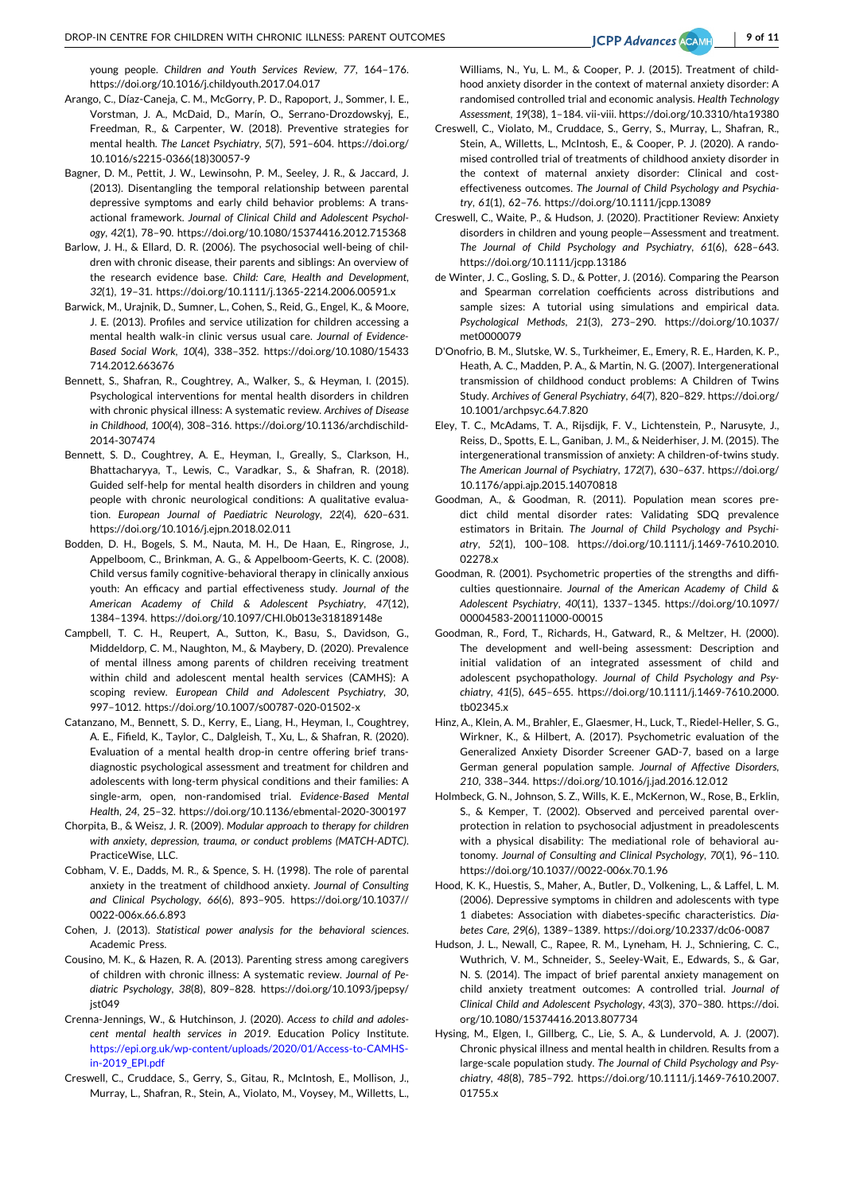<span id="page-8-0"></span>young people. *Children and Youth Services Review*, *77*, 164–176. <https://doi.org/10.1016/j.childyouth.2017.04.017>

- Arango, C., Díaz‐Caneja, C. M., McGorry, P. D., Rapoport, J., Sommer, I. E., Vorstman, J. A., McDaid, D., Marín, O., Serrano‐Drozdowskyj, E., Freedman, R., & Carpenter, W. (2018). Preventive strategies for mental health. *The Lancet Psychiatry*, *5*(7), 591–604. [https://doi.org/](https://doi.org/10.1016/s2215-0366(18)30057-9) 10.1016/s2215‐[0366\(18\)30057](https://doi.org/10.1016/s2215-0366(18)30057-9)‐9
- Bagner, D. M., Pettit, J. W., Lewinsohn, P. M., Seeley, J. R., & Jaccard, J. (2013). Disentangling the temporal relationship between parental depressive symptoms and early child behavior problems: A transactional framework. *Journal of Clinical Child and Adolescent Psychology*, *42*(1), 78–90. <https://doi.org/10.1080/15374416.2012.715368>
- Barlow, J. H., & Ellard, D. R. (2006). The psychosocial well-being of children with chronic disease, their parents and siblings: An overview of the research evidence base. *Child: Care, Health and Development*, *32*(1), 19–31. [https://doi.org/10.1111/j.1365](https://doi.org/10.1111/j.1365-2214.2006.00591.x)‐2214.2006.00591.x
- Barwick, M., Urajnik, D., Sumner, L., Cohen, S., Reid, G., Engel, K., & Moore, J. E. (2013). Profiles and service utilization for children accessing a mental health walk‐in clinic versus usual care. *Journal of Evidence‐ Based Social Work*, *10*(4), 338–352. [https://doi.org/10.1080/15433](https://doi.org/10.1080/15433714.2012.663676) [714.2012.663676](https://doi.org/10.1080/15433714.2012.663676)
- Bennett, S., Shafran, R., Coughtrey, A., Walker, S., & Heyman, I. (2015). Psychological interventions for mental health disorders in children with chronic physical illness: A systematic review. *Archives of Disease in Childhood*, *100*(4), 308–316. [https://doi.org/10.1136/archdischild](https://doi.org/10.1136/archdischild-2014-307474)‐ 2014‐[307474](https://doi.org/10.1136/archdischild-2014-307474)
- Bennett, S. D., Coughtrey, A. E., Heyman, I., Greally, S., Clarkson, H., Bhattacharyya, T., Lewis, C., Varadkar, S., & Shafran, R. (2018). Guided self‐help for mental health disorders in children and young people with chronic neurological conditions: A qualitative evaluation. *European Journal of Paediatric Neurology*, *22*(4), 620–631. <https://doi.org/10.1016/j.ejpn.2018.02.011>
- Bodden, D. H., Bogels, S. M., Nauta, M. H., De Haan, E., Ringrose, J., Appelboom, C., Brinkman, A. G., & Appelboom‐Geerts, K. C. (2008). Child versus family cognitive‐behavioral therapy in clinically anxious youth: An efficacy and partial effectiveness study. *Journal of the American Academy of Child & Adolescent Psychiatry*, *47*(12), 1384–1394. <https://doi.org/10.1097/CHI.0b013e318189148e>
- Campbell, T. C. H., Reupert, A., Sutton, K., Basu, S., Davidson, G., Middeldorp, C. M., Naughton, M., & Maybery, D. (2020). Prevalence of mental illness among parents of children receiving treatment within child and adolescent mental health services (CAMHS): A scoping review. *European Child and Adolescent Psychiatry*, *30*, 997–1012. [https://doi.org/10.1007/s00787](https://doi.org/10.1007/s00787-020-01502-x)‐020‐01502‐x
- Catanzano, M., Bennett, S. D., Kerry, E., Liang, H., Heyman, I., Coughtrey, A. E., Fifield, K., Taylor, C., Dalgleish, T., Xu, L., & Shafran, R. (2020). Evaluation of a mental health drop-in centre offering brief transdiagnostic psychological assessment and treatment for children and adolescents with long‐term physical conditions and their families: A single‐arm, open, non‐randomised trial. *Evidence‐Based Mental Health*, *24*, 25–32. [https://doi.org/10.1136/ebmental](https://doi.org/10.1136/ebmental-2020-300197)‐2020‐300197
- Chorpita, B., & Weisz, J. R. (2009). *Modular approach to therapy for children with anxiety, depression, trauma, or conduct problems (MATCH‐ADTC)*. PracticeWise, LLC.
- Cobham, V. E., Dadds, M. R., & Spence, S. H. (1998). The role of parental anxiety in the treatment of childhood anxiety. *Journal of Consulting and Clinical Psychology*, *66*(6), 893–905. [https://doi.org/10.1037//](https://doi.org/10.1037//0022-006x.66.6.893) 0022‐[006x.66.6.893](https://doi.org/10.1037//0022-006x.66.6.893)
- Cohen, J. (2013). *Statistical power analysis for the behavioral sciences*. Academic Press.
- Cousino, M. K., & Hazen, R. A. (2013). Parenting stress among caregivers of children with chronic illness: A systematic review. *Journal of Pediatric Psychology*, *38*(8), 809–828. [https://doi.org/10.1093/jpepsy/](https://doi.org/10.1093/jpepsy/jst049) ist049
- Crenna‐Jennings, W., & Hutchinson, J. (2020). *Access to child and adolescent mental health services in 2019*. Education Policy Institute. https://epi.org.uk/wp‐[content/uploads/2020/01/Access](https://epi.org.uk/wp-content/uploads/2020/01/Access-to-CAMHS-in-2019_EPI.pdf)‐to‐CAMHS‐ in‐[2019\\_EPI.pdf](https://epi.org.uk/wp-content/uploads/2020/01/Access-to-CAMHS-in-2019_EPI.pdf)
- Creswell, C., Cruddace, S., Gerry, S., Gitau, R., McIntosh, E., Mollison, J., Murray, L., Shafran, R., Stein, A., Violato, M., Voysey, M., Willetts, L.,

Williams, N., Yu, L. M., & Cooper, P. J. (2015). Treatment of childhood anxiety disorder in the context of maternal anxiety disorder: A randomised controlled trial and economic analysis. *Health Technology Assessment*, *19*(38), 1–184. vii‐viii. <https://doi.org/10.3310/hta19380>

- Creswell, C., Violato, M., Cruddace, S., Gerry, S., Murray, L., Shafran, R., Stein, A., Willetts, L., McIntosh, E., & Cooper, P. J. (2020). A randomised controlled trial of treatments of childhood anxiety disorder in the context of maternal anxiety disorder: Clinical and costeffectiveness outcomes. *The Journal of Child Psychology and Psychiatry*, *61*(1), 62–76. <https://doi.org/10.1111/jcpp.13089>
- Creswell, C., Waite, P., & Hudson, J. (2020). Practitioner Review: Anxiety disorders in children and young people—Assessment and treatment. *The Journal of Child Psychology and Psychiatry*, *61*(6), 628–643. <https://doi.org/10.1111/jcpp.13186>
- de Winter, J. C., Gosling, S. D., & Potter, J. (2016). Comparing the Pearson and Spearman correlation coefficients across distributions and sample sizes: A tutorial using simulations and empirical data. *Psychological Methods*, *21*(3), 273–290. [https://doi.org/10.1037/](https://doi.org/10.1037/met0000079) [met0000079](https://doi.org/10.1037/met0000079)
- D'Onofrio, B. M., Slutske, W. S., Turkheimer, E., Emery, R. E., Harden, K. P., Heath, A. C., Madden, P. A., & Martin, N. G. (2007). Intergenerational transmission of childhood conduct problems: A Children of Twins Study. *Archives of General Psychiatry*, *64*(7), 820–829. [https://doi.org/](https://doi.org/10.1001/archpsyc.64.7.820) [10.1001/archpsyc.64.7.820](https://doi.org/10.1001/archpsyc.64.7.820)
- Eley, T. C., McAdams, T. A., Rijsdijk, F. V., Lichtenstein, P., Narusyte, J., Reiss, D., Spotts, E. L., Ganiban, J. M., & Neiderhiser, J. M. (2015). The intergenerational transmission of anxiety: A children‐of‐twins study. *The American Journal of Psychiatry*, *172*(7), 630–637. [https://doi.org/](https://doi.org/10.1176/appi.ajp.2015.14070818) [10.1176/appi.ajp.2015.14070818](https://doi.org/10.1176/appi.ajp.2015.14070818)
- Goodman, A., & Goodman, R. (2011). Population mean scores predict child mental disorder rates: Validating SDQ prevalence estimators in Britain. *The Journal of Child Psychology and Psychiatry*, *52*(1), 100–108. [https://doi.org/10.1111/j.1469](https://doi.org/10.1111/j.1469-7610.2010.02278.x)‐7610.2010. [02278.x](https://doi.org/10.1111/j.1469-7610.2010.02278.x)
- Goodman, R. (2001). Psychometric properties of the strengths and difficulties questionnaire. *Journal of the American Academy of Child & Adolescent Psychiatry*, *40*(11), 1337–1345. [https://doi.org/10.1097/](https://doi.org/10.1097/00004583-200111000-00015) 00004583‐[200111000](https://doi.org/10.1097/00004583-200111000-00015)‐00015
- Goodman, R., Ford, T., Richards, H., Gatward, R., & Meltzer, H. (2000). The development and well‐being assessment: Description and initial validation of an integrated assessment of child and adolescent psychopathology. *Journal of Child Psychology and Psychiatry*, *41*(5), 645–655. [https://doi.org/10.1111/j.1469](https://doi.org/10.1111/j.1469-7610.2000.tb02345.x)‐7610.2000. [tb02345.x](https://doi.org/10.1111/j.1469-7610.2000.tb02345.x)
- Hinz, A., Klein, A. M., Brahler, E., Glaesmer, H., Luck, T., Riedel‐Heller, S. G., Wirkner, K., & Hilbert, A. (2017). Psychometric evaluation of the Generalized Anxiety Disorder Screener GAD‐7, based on a large German general population sample. *Journal of Affective Disorders*, *210*, 338–344. <https://doi.org/10.1016/j.jad.2016.12.012>
- Holmbeck, G. N., Johnson, S. Z., Wills, K. E., McKernon, W., Rose, B., Erklin, S., & Kemper, T. (2002). Observed and perceived parental overprotection in relation to psychosocial adjustment in preadolescents with a physical disability: The mediational role of behavioral autonomy. *Journal of Consulting and Clinical Psychology*, *70*(1), 96–110. [https://doi.org/10.1037//0022](https://doi.org/10.1037//0022-006x.70.1.96)‐006x.70.1.96
- Hood, K. K., Huestis, S., Maher, A., Butler, D., Volkening, L., & Laffel, L. M. (2006). Depressive symptoms in children and adolescents with type 1 diabetes: Association with diabetes‐specific characteristics. *Diabetes Care*, *29*(6), 1389–1389. [https://doi.org/10.2337/dc06](https://doi.org/10.2337/dc06-0087)‐0087
- Hudson, J. L., Newall, C., Rapee, R. M., Lyneham, H. J., Schniering, C. C., Wuthrich, V. M., Schneider, S., Seeley‐Wait, E., Edwards, S., & Gar, N. S. (2014). The impact of brief parental anxiety management on child anxiety treatment outcomes: A controlled trial. *Journal of Clinical Child and Adolescent Psychology*, *43*(3), 370–380. [https://doi.](https://doi.org/10.1080/15374416.2013.807734) [org/10.1080/15374416.2013.807734](https://doi.org/10.1080/15374416.2013.807734)
- Hysing, M., Elgen, I., Gillberg, C., Lie, S. A., & Lundervold, A. J. (2007). Chronic physical illness and mental health in children. Results from a large‐scale population study. *The Journal of Child Psychology and Psychiatry*, *48*(8), 785–792. [https://doi.org/10.1111/j.1469](https://doi.org/10.1111/j.1469-7610.2007.01755.x)‐7610.2007. [01755.x](https://doi.org/10.1111/j.1469-7610.2007.01755.x)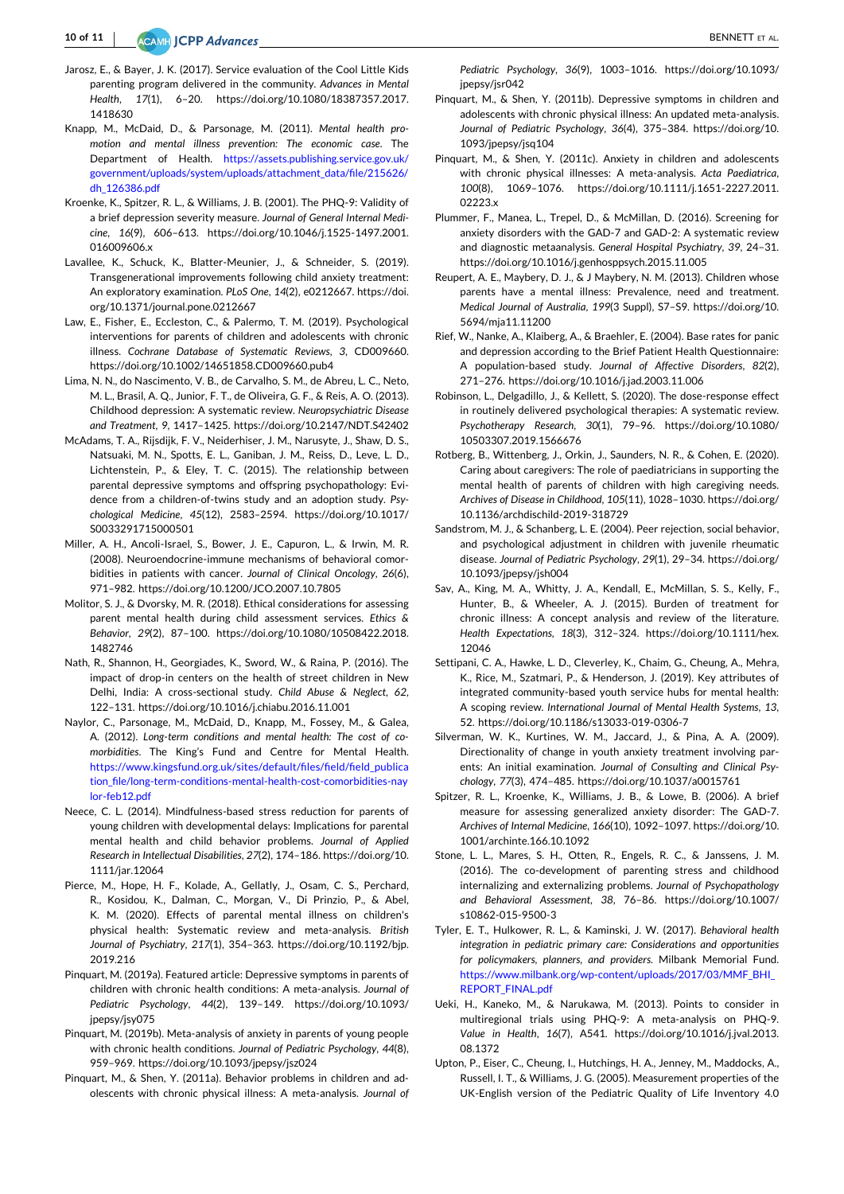ACAMH **JCPP Advances** 

- <span id="page-9-0"></span>Jarosz, E., & Bayer, J. K. (2017). Service evaluation of the Cool Little Kids parenting program delivered in the community. *Advances in Mental Health*, *17*(1), 6–20. [https://doi.org/10.1080/18387357.2017.](https://doi.org/10.1080/18387357.2017.1418630) [1418630](https://doi.org/10.1080/18387357.2017.1418630)
- Knapp, M., McDaid, D., & Parsonage, M. (2011). *Mental health promotion and mental illness prevention: The economic case*. The Department of Health. [https://assets.publishing.service.gov.uk/](https://assets.publishing.service.gov.uk/government/uploads/system/uploads/attachment_data/file/215626/dh_126386.pdf) [government/uploads/system/uploads/attachment\\_data/file/215626/](https://assets.publishing.service.gov.uk/government/uploads/system/uploads/attachment_data/file/215626/dh_126386.pdf) [dh\\_126386.pdf](https://assets.publishing.service.gov.uk/government/uploads/system/uploads/attachment_data/file/215626/dh_126386.pdf)
- Kroenke, K., Spitzer, R. L., & Williams, J. B. (2001). The PHQ‐9: Validity of a brief depression severity measure. *Journal of General Internal Medicine*, *16*(9), 606–613. [https://doi.org/10.1046/j.1525](https://doi.org/10.1046/j.1525-1497.2001.016009606.x)‐1497.2001. [016009606.x](https://doi.org/10.1046/j.1525-1497.2001.016009606.x)
- Lavallee, K., Schuck, K., Blatter‐Meunier, J., & Schneider, S. (2019). Transgenerational improvements following child anxiety treatment: An exploratory examination. *PLoS One*, *14*(2), e0212667. [https://doi.](https://doi.org/10.1371/journal.pone.0212667) [org/10.1371/journal.pone.0212667](https://doi.org/10.1371/journal.pone.0212667)
- Law, E., Fisher, E., Eccleston, C., & Palermo, T. M. (2019). Psychological interventions for parents of children and adolescents with chronic illness. *Cochrane Database of Systematic Reviews*, *3*, CD009660. <https://doi.org/10.1002/14651858.CD009660.pub4>
- Lima, N. N., do Nascimento, V. B., de Carvalho, S. M., de Abreu, L. C., Neto, M. L., Brasil, A. Q., Junior, F. T., de Oliveira, G. F., & Reis, A. O. (2013). Childhood depression: A systematic review. *Neuropsychiatric Disease and Treatment*, *9*, 1417–1425. <https://doi.org/10.2147/NDT.S42402>
- McAdams, T. A., Rijsdijk, F. V., Neiderhiser, J. M., Narusyte, J., Shaw, D. S., Natsuaki, M. N., Spotts, E. L., Ganiban, J. M., Reiss, D., Leve, L. D., Lichtenstein, P., & Eley, T. C. (2015). The relationship between parental depressive symptoms and offspring psychopathology: Evidence from a children‐of‐twins study and an adoption study. *Psychological Medicine*, *45*(12), 2583–2594. [https://doi.org/10.1017/](https://doi.org/10.1017/S0033291715000501) [S0033291715000501](https://doi.org/10.1017/S0033291715000501)
- Miller, A. H., Ancoli‐Israel, S., Bower, J. E., Capuron, L., & Irwin, M. R. (2008). Neuroendocrine‐immune mechanisms of behavioral comorbidities in patients with cancer. *Journal of Clinical Oncology*, *26*(6), 971–982. <https://doi.org/10.1200/JCO.2007.10.7805>
- Molitor, S. J., & Dvorsky, M. R. (2018). Ethical considerations for assessing parent mental health during child assessment services. *Ethics & Behavior*, *29*(2), 87–100. [https://doi.org/10.1080/10508422.2018.](https://doi.org/10.1080/10508422.2018.1482746) [1482746](https://doi.org/10.1080/10508422.2018.1482746)
- Nath, R., Shannon, H., Georgiades, K., Sword, W., & Raina, P. (2016). The impact of drop‐in centers on the health of street children in New Delhi, India: A cross‐sectional study. *Child Abuse & Neglect*, *62*, 122–131. <https://doi.org/10.1016/j.chiabu.2016.11.001>
- Naylor, C., Parsonage, M., McDaid, D., Knapp, M., Fossey, M., & Galea, A. (2012). *Long‐term conditions and mental health: The cost of co‐ morbidities*. The King's Fund and Centre for Mental Health. [https://www.kingsfund.org.uk/sites/default/files/field/field\\_publica](https://www.kingsfund.org.uk/sites/default/files/field/field_publication_file/long-term-conditions-mental-health-cost-comorbidities-naylor-feb12.pdf) tion\_file/long‐term‐conditions‐mental‐health‐cost‐[comorbidities](https://www.kingsfund.org.uk/sites/default/files/field/field_publication_file/long-term-conditions-mental-health-cost-comorbidities-naylor-feb12.pdf)‐nay lor‐[feb12.pdf](https://www.kingsfund.org.uk/sites/default/files/field/field_publication_file/long-term-conditions-mental-health-cost-comorbidities-naylor-feb12.pdf)
- Neece, C. L. (2014). Mindfulness‐based stress reduction for parents of young children with developmental delays: Implications for parental mental health and child behavior problems. *Journal of Applied Research in Intellectual Disabilities*, *27*(2), 174–186. [https://doi.org/10.](https://doi.org/10.1111/jar.12064) [1111/jar.12064](https://doi.org/10.1111/jar.12064)
- Pierce, M., Hope, H. F., Kolade, A., Gellatly, J., Osam, C. S., Perchard, R., Kosidou, K., Dalman, C., Morgan, V., Di Prinzio, P., & Abel, K. M. (2020). Effects of parental mental illness on children's physical health: Systematic review and meta‐analysis. *British Journal of Psychiatry*, *217*(1), 354–363. [https://doi.org/10.1192/bjp.](https://doi.org/10.1192/bjp.2019.216) [2019.216](https://doi.org/10.1192/bjp.2019.216)
- Pinquart, M. (2019a). Featured article: Depressive symptoms in parents of children with chronic health conditions: A meta‐analysis. *Journal of Pediatric Psychology*, *44*(2), 139–149. [https://doi.org/10.1093/](https://doi.org/10.1093/jpepsy/jsy075) ipepsy/jsy075
- Pinquart, M. (2019b). Meta‐analysis of anxiety in parents of young people with chronic health conditions. *Journal of Pediatric Psychology*, *44*(8), 959–969. <https://doi.org/10.1093/jpepsy/jsz024>
- Pinquart, M., & Shen, Y. (2011a). Behavior problems in children and adolescents with chronic physical illness: A meta‐analysis. *Journal of*

*Pediatric Psychology*, *36*(9), 1003–1016. [https://doi.org/10.1093/](https://doi.org/10.1093/jpepsy/jsr042) ipepsy/isr042

- Pinquart, M., & Shen, Y. (2011b). Depressive symptoms in children and adolescents with chronic physical illness: An updated meta‐analysis. *Journal of Pediatric Psychology*, *36*(4), 375–384. [https://doi.org/10.](https://doi.org/10.1093/jpepsy/jsq104) [1093/jpepsy/jsq104](https://doi.org/10.1093/jpepsy/jsq104)
- Pinquart, M., & Shen, Y. (2011c). Anxiety in children and adolescents with chronic physical illnesses: A meta‐analysis. *Acta Paediatrica*, *100*(8), 1069–1076. [https://doi.org/10.1111/j.1651](https://doi.org/10.1111/j.1651-2227.2011.02223.x)‐2227.2011. [02223.x](https://doi.org/10.1111/j.1651-2227.2011.02223.x)
- Plummer, F., Manea, L., Trepel, D., & McMillan, D. (2016). Screening for anxiety disorders with the GAD‐7 and GAD‐2: A systematic review and diagnostic metaanalysis. *General Hospital Psychiatry*, *39*, 24–31. <https://doi.org/10.1016/j.genhosppsych.2015.11.005>
- Reupert, A. E., Maybery, D. J., & J Maybery, N. M. (2013). Children whose parents have a mental illness: Prevalence, need and treatment. *Medical Journal of Australia*, *199*(3 Suppl), S7–S9. [https://doi.org/10.](https://doi.org/10.5694/mja11.11200) [5694/mja11.11200](https://doi.org/10.5694/mja11.11200)
- Rief, W., Nanke, A., Klaiberg, A., & Braehler, E. (2004). Base rates for panic and depression according to the Brief Patient Health Questionnaire: A population‐based study. *Journal of Affective Disorders*, *82*(2), 271–276. <https://doi.org/10.1016/j.jad.2003.11.006>
- Robinson, L., Delgadillo, J., & Kellett, S. (2020). The dose‐response effect in routinely delivered psychological therapies: A systematic review. *Psychotherapy Research*, *30*(1), 79–96. [https://doi.org/10.1080/](https://doi.org/10.1080/10503307.2019.1566676) [10503307.2019.1566676](https://doi.org/10.1080/10503307.2019.1566676)
- Rotberg, B., Wittenberg, J., Orkin, J., Saunders, N. R., & Cohen, E. (2020). Caring about caregivers: The role of paediatricians in supporting the mental health of parents of children with high caregiving needs. *Archives of Disease in Childhood*, *105*(11), 1028–1030. [https://doi.org/](https://doi.org/10.1136/archdischild-2019-318729) [10.1136/archdischild](https://doi.org/10.1136/archdischild-2019-318729)‐2019‐318729
- Sandstrom, M. J., & Schanberg, L. E. (2004). Peer rejection, social behavior, and psychological adjustment in children with juvenile rheumatic disease. *Journal of Pediatric Psychology*, *29*(1), 29–34. [https://doi.org/](https://doi.org/10.1093/jpepsy/jsh004) [10.1093/jpepsy/jsh004](https://doi.org/10.1093/jpepsy/jsh004)
- Sav, A., King, M. A., Whitty, J. A., Kendall, E., McMillan, S. S., Kelly, F., Hunter, B., & Wheeler, A. J. (2015). Burden of treatment for chronic illness: A concept analysis and review of the literature. *Health Expectations*, *18*(3), 312–324. [https://doi.org/10.1111/hex.](https://doi.org/10.1111/hex.12046) [12046](https://doi.org/10.1111/hex.12046)
- Settipani, C. A., Hawke, L. D., Cleverley, K., Chaim, G., Cheung, A., Mehra, K., Rice, M., Szatmari, P., & Henderson, J. (2019). Key attributes of integrated community‐based youth service hubs for mental health: A scoping review. *International Journal of Mental Health Systems*, *13*, 52. [https://doi.org/10.1186/s13033](https://doi.org/10.1186/s13033-019-0306-7)‐019‐0306‐7
- Silverman, W. K., Kurtines, W. M., Jaccard, J., & Pina, A. A. (2009). Directionality of change in youth anxiety treatment involving parents: An initial examination. *Journal of Consulting and Clinical Psychology*, *77*(3), 474–485. <https://doi.org/10.1037/a0015761>
- Spitzer, R. L., Kroenke, K., Williams, J. B., & Lowe, B. (2006). A brief measure for assessing generalized anxiety disorder: The GAD‐7. *Archives of Internal Medicine*, *166*(10), 1092–1097. [https://doi.org/10.](https://doi.org/10.1001/archinte.166.10.1092) [1001/archinte.166.10.1092](https://doi.org/10.1001/archinte.166.10.1092)
- Stone, L. L., Mares, S. H., Otten, R., Engels, R. C., & Janssens, J. M. (2016). The co-development of parenting stress and childhood internalizing and externalizing problems. *Journal of Psychopathology and Behavioral Assessment*, *38*, 76–86. [https://doi.org/10.1007/](https://doi.org/10.1007/s10862-015-9500-3) [s10862](https://doi.org/10.1007/s10862-015-9500-3)‐015‐9500‐3
- Tyler, E. T., Hulkower, R. L., & Kaminski, J. W. (2017). *Behavioral health integration in pediatric primary care: Considerations and opportunities for policymakers, planners, and providers*. Milbank Memorial Fund. https://www.milbank.org/wp‐[content/uploads/2017/03/MMF\\_BHI\\_](https://www.milbank.org/wp-content/uploads/2017/03/MMF_BHI_REPORT_FINAL.pdf) [REPORT\\_FINAL.pdf](https://www.milbank.org/wp-content/uploads/2017/03/MMF_BHI_REPORT_FINAL.pdf)
- Ueki, H., Kaneko, M., & Narukawa, M. (2013). Points to consider in multiregional trials using PHQ‐9: A meta‐analysis on PHQ‐9. *Value in Health*, *16*(7), A541. [https://doi.org/10.1016/j.jval.2013.](https://doi.org/10.1016/j.jval.2013.08.1372) [08.1372](https://doi.org/10.1016/j.jval.2013.08.1372)
- Upton, P., Eiser, C., Cheung, I., Hutchings, H. A., Jenney, M., Maddocks, A., Russell, I. T., & Williams, J. G. (2005). Measurement properties of the UK‐English version of the Pediatric Quality of Life Inventory 4.0